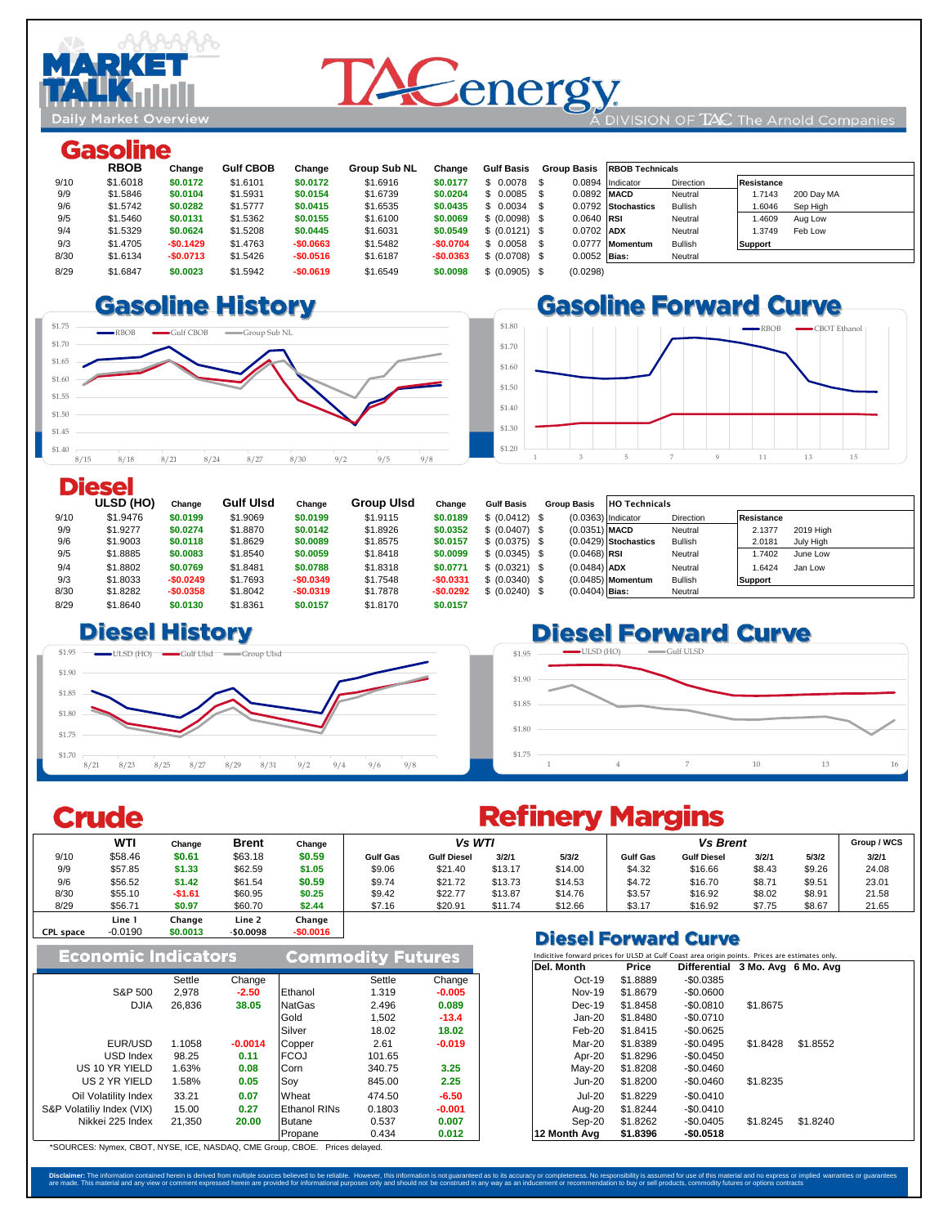

# **TACenergy**

#### DIVISION OF TAC The Arnold Companies

### **Gasoline**

|      | <b>RBOB</b> | Change     | <b>Gulf CBOB</b> | Change     | <b>Group Sub NL</b> | Change     | <b>Gulf Basis</b> |                | Group Basis RBOB Technicals |                  |                      |
|------|-------------|------------|------------------|------------|---------------------|------------|-------------------|----------------|-----------------------------|------------------|----------------------|
| 9/10 | \$1,6018    | \$0,0172   | \$1,6101         | \$0,0172   | \$1,6916            | \$0.0177   | $$0.0078$ \$      |                | 0.0894 Indicator            | <b>Direction</b> | Resistance           |
| 9/9  | \$1,5846    | \$0,0104   | \$1,5931         | \$0.0154   | \$1,6739            | \$0.0204   | $$0.0085$ \$      | 0.0892 MACD    |                             | Neutral          | 1.7143<br>200 Day MA |
| 9/6  | \$1.5742    | \$0,0282   | \$1,5777         | \$0.0415   | \$1.6535            | \$0.0435   | $$0.0034$ \$      |                | 0.0792 Stochastics          | <b>Bullish</b>   | 1.6046<br>Sep High   |
| 9/5  | \$1,5460    | \$0.0131   | \$1.5362         | \$0.0155   | \$1.6100            | \$0,0069   | \$ (0.0098) \$    | $0.0640$ RSI   |                             | Neutral          | 1.4609<br>Aug Low    |
| 9/4  | \$1.5329    | \$0.0624   | \$1,5208         | \$0.0445   | \$1,6031            | \$0.0549   | \$ (0.0121) \$    | 0.0702 ADX     |                             | Neutral          | Feb Low<br>1.3749    |
| 9/3  | \$1,4705    | $-$0.1429$ | \$1,4763         | $-$0.0663$ | \$1,5482            | $-$0.0704$ | $$0.0058$ \$      |                | 0.0777 Momentum             | <b>Bullish</b>   | <b>Support</b>       |
| 8/30 | \$1.6134    | $-$0.0713$ | \$1,5426         | $-$0.0516$ | \$1.6187            | $-$0.0363$ | \$ (0.0708) \$    | $0.0052$ Bias: |                             | Neutral          |                      |
| 8/29 | \$1,6847    | \$0.0023   | \$1,5942         | $-$0.0619$ | \$1.6549            | \$0.0098   | \$ (0.0905) \$    | (0.0298)       |                             |                  |                      |

#### 8/27 \$1.6499 **\$0.0334 \$1.63 \$0.0346** \$1.6146 **\$0.0399**  $8.6$   $8.80$   $11.6$   $1.51$   $10.4$





#### **Diesel**

|      | ULSD (HO) | Change     | <b>Gulf Ulsd</b> | Change     | <b>Group UIsd</b> | Change     | <b>Gulf Basis</b> | <b>Group Basis</b> | <b>HO Technicals</b>   |           |                   |           |
|------|-----------|------------|------------------|------------|-------------------|------------|-------------------|--------------------|------------------------|-----------|-------------------|-----------|
| 9/10 | \$1,9476  | \$0.0199   | \$1,9069         | \$0,0199   | \$1.9115          | \$0,0189   | \$ (0.0412) \$    |                    | $(0.0363)$ Indicator   | Direction | <b>Resistance</b> |           |
| 9/9  | \$1.9277  | \$0,0274   | \$1,8870         | \$0.0142   | \$1.8926          | \$0.0352   | \$ (0.0407) \$    | $(0.0351)$ MACD    |                        | Neutral   | 2.1377            | 2019 High |
| 9/6  | \$1,9003  | \$0,0118   | \$1,8629         | \$0,0089   | \$1.8575          | \$0,0157   | \$ (0.0375) \$    |                    | $(0.0429)$ Stochastics | Bullish   | 2.0181            | July High |
| 9/5  | \$1.8885  | \$0,0083   | \$1.8540         | \$0.0059   | \$1.8418          | \$0.0099   | \$ (0.0345) \$    | $(0.0468)$ RSI     |                        | Neutral   | 1.7402            | June Low  |
| 9/4  | \$1.8802  | \$0,0769   | \$1.8481         | \$0,0788   | \$1,8318          | \$0,0771   | \$ (0.0321) \$    | $(0.0484)$ ADX     |                        | Neutral   | 1.6424            | Jan Low   |
| 9/3  | \$1.8033  | $-$0.0249$ | \$1,7693         | $-$0.0349$ | \$1.7548          | $-$0.0331$ | \$ (0.0340) \$    |                    | $(0.0485)$ Momentum    | Bullish   | <b>Support</b>    |           |
| 8/30 | \$1.8282  | $-$0.0358$ | \$1,8042         | $-$0.0319$ | \$1,7878          | $-$0.0292$ | \$ (0.0240) \$    | $(0.0404)$ Bias:   |                        | Neutral   |                   |           |
| 8/29 | \$1,8640  | \$0,0130   | \$1.8361         | \$0.0157   | \$1,8170          | \$0.0157   |                   |                    |                        |           |                   |           |

### $\square$  **Biesel History**



### **Diesel Forward Curve**



### **Crude**

CPL space

#### **WTI Change Brent Change Group / WCS** 9/10 \$58.46 **\$0.61** \$63.18 **\$0.59 Gulf Gas Gulf Diesel 3/2/1 5/3/2 Gulf Gas Gulf Diesel 3/2/1 5/3/2 3/2/1** 9/9 \$57.85 **\$1.33** \$62.59 **\$1.05** \$9.06 \$21.40 \$13.17 \$14.00 \$4.32 \$16.66 \$8.43 \$9.26 24.08 9/6 \$56.52 **\$1.42** \$61.54 **\$0.59** \$9.74 \$21.72 \$13.73 \$14.53 \$4.72 \$16.70 \$8.71 \$9.51 23.01 8/30 \$55.10 **-\$1.61** \$60.95 **\$0.25** \$9.42 \$22.77 \$13.87 \$14.76 \$3.57 \$16.92 \$8.02 \$8.91 21.58 8/29 \$56.71 **\$0.97** \$60.70 \$**2.44 |** \$7.16 \$20.91 \$11.74 \$12.66 | \$3.17 \$16.92 \$7.75 \$8.67 | 21.65 Line 1 Change Line 2 Change  $$0.0013$ *Vs WTI Vs Brent*

|                            |        |                          |                     |        |                                                                                                | <b>PIESEI FUIWAIU CUIVE</b> |          |                                 |          |          |  |
|----------------------------|--------|--------------------------|---------------------|--------|------------------------------------------------------------------------------------------------|-----------------------------|----------|---------------------------------|----------|----------|--|
| <b>Economic Indicators</b> |        | <b>Commodity Futures</b> |                     |        | Indicitive forward prices for ULSD at Gulf Coast area origin points. Prices are estimates only |                             |          |                                 |          |          |  |
|                            |        |                          |                     |        |                                                                                                | Del. Month                  | Price    | Differential 3 Mo. Avg 6 Mo. Av |          |          |  |
|                            | Settle | Change                   |                     | Settle | Change                                                                                         | $Oct-19$                    | \$1,8889 | $-$0.0385$                      |          |          |  |
| S&P 500                    | 2,978  | $-2.50$                  | Ethanol             | 1.319  | $-0.005$                                                                                       | Nov-19                      | \$1,8679 | $-$0.0600$                      |          |          |  |
| <b>DJIA</b>                | 26.836 | 38.05                    | <b>NatGas</b>       | 2.496  | 0.089                                                                                          | $Dec-19$                    | \$1,8458 | $-$0.0810$                      | \$1,8675 |          |  |
|                            |        |                          | Gold                | 1.502  | $-13.4$                                                                                        | Jan-20                      | \$1,8480 | $-$0.0710$                      |          |          |  |
|                            |        |                          | Silver              | 18.02  | 18.02                                                                                          | Feb-20                      | \$1,8415 | $-$0.0625$                      |          |          |  |
| EUR/USD                    | 1.1058 | $-0.0014$                | Copper              | 2.61   | $-0.019$                                                                                       | Mar-20                      | \$1,8389 | $-$0.0495$                      | \$1,8428 | \$1,8552 |  |
| USD Index                  | 98.25  | 0.11                     | <b>FCOJ</b>         | 101.65 |                                                                                                | Apr-20                      | \$1,8296 | $-$0.0450$                      |          |          |  |
| US 10 YR YIELD             | 1.63%  | 0.08                     | Corn                | 340.75 | 3.25                                                                                           | $May-20$                    | \$1,8208 | $-$0.0460$                      |          |          |  |
| US 2 YR YIELD              | 1.58%  | 0.05                     | Soy                 | 845.00 | 2.25                                                                                           | $Jun-20$                    | \$1.8200 | $-$0.0460$                      | \$1,8235 |          |  |
| Oil Volatility Index       | 33.21  | 0.07                     | Wheat               | 474.50 | $-6.50$                                                                                        | <b>Jul-20</b>               | \$1.8229 | $-$0.0410$                      |          |          |  |
| S&P Volatiliy Index (VIX)  | 15.00  | 0.27                     | <b>Ethanol RINs</b> | 0.1803 | $-0.001$                                                                                       | Aug-20                      | \$1,8244 | $-$0.0410$                      |          |          |  |
| Nikkei 225 Index           | 21,350 | 20.00                    | Butane              | 0.537  | 0.007                                                                                          | Sep-20                      | \$1.8262 | $-$0.0405$                      | \$1.8245 | \$1.8240 |  |
|                            |        |                          | Propane             | 0.434  | 0.012                                                                                          | 12 Month Ava                | \$1,8396 | $-$0.0518$                      |          |          |  |

\*SOURCES: Nymex, CBOT, NYSE, ICE, NASDAQ, CME Group, CBOE. Prices delayed.

## **Refinery Margins**

**Diesel Forward Curve** 

| Indicitive forward prices for ULSD at Gulf Coast area origin points. Prices are estimates only. |          |                                  |          |          |  |  |  |  |  |  |  |
|-------------------------------------------------------------------------------------------------|----------|----------------------------------|----------|----------|--|--|--|--|--|--|--|
| Del. Month                                                                                      | Price    | Differential 3 Mo. Avg 6 Mo. Avg |          |          |  |  |  |  |  |  |  |
| $Oct-19$                                                                                        | \$1.8889 | $-$0.0385$                       |          |          |  |  |  |  |  |  |  |
| Nov-19                                                                                          | \$1.8679 | $-$0.0600$                       |          |          |  |  |  |  |  |  |  |
| $Dec-19$                                                                                        | \$1.8458 | $-$0.0810$                       | \$1.8675 |          |  |  |  |  |  |  |  |
| $Jan-20$                                                                                        | \$1.8480 | $-$0.0710$                       |          |          |  |  |  |  |  |  |  |
| $Feb-20$                                                                                        | \$1.8415 | $-$0.0625$                       |          |          |  |  |  |  |  |  |  |
| $Mar-20$                                                                                        | \$1.8389 | $-$0.0495$                       | \$1.8428 | \$1.8552 |  |  |  |  |  |  |  |
| Apr-20                                                                                          | \$1.8296 | $-$0.0450$                       |          |          |  |  |  |  |  |  |  |
| $May-20$                                                                                        | \$1,8208 | $-$0.0460$                       |          |          |  |  |  |  |  |  |  |
| $Jun-20$                                                                                        | \$1.8200 | $-$0.0460$                       | \$1.8235 |          |  |  |  |  |  |  |  |
| $Jul-20$                                                                                        | \$1.8229 | $-$0.0410$                       |          |          |  |  |  |  |  |  |  |
| Aug-20                                                                                          | \$1.8244 | $-$0.0410$                       |          |          |  |  |  |  |  |  |  |
| Sep-20                                                                                          | \$1.8262 | $-$0.0405$                       | \$1.8245 | \$1.8240 |  |  |  |  |  |  |  |
| 12 Month Ava                                                                                    | \$1.8396 | $-$0.0518$                       |          |          |  |  |  |  |  |  |  |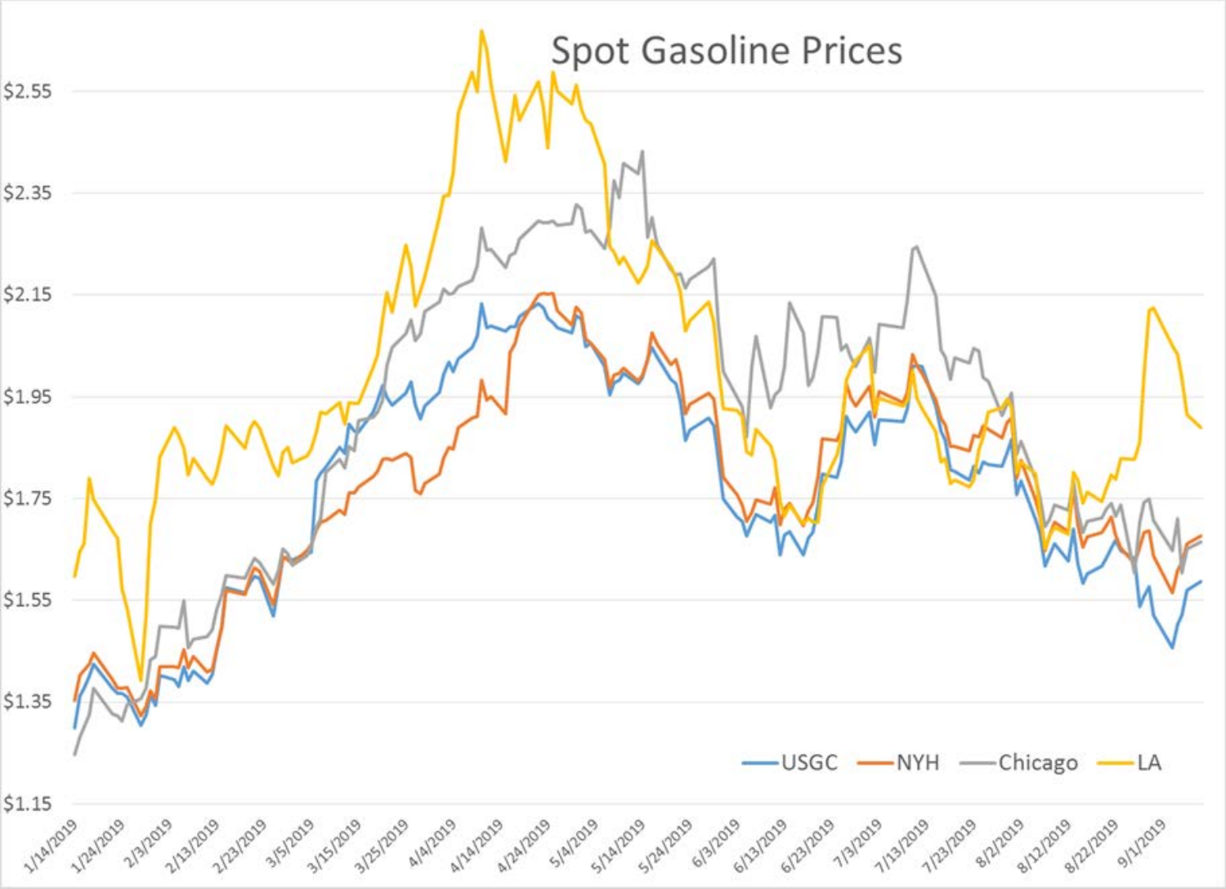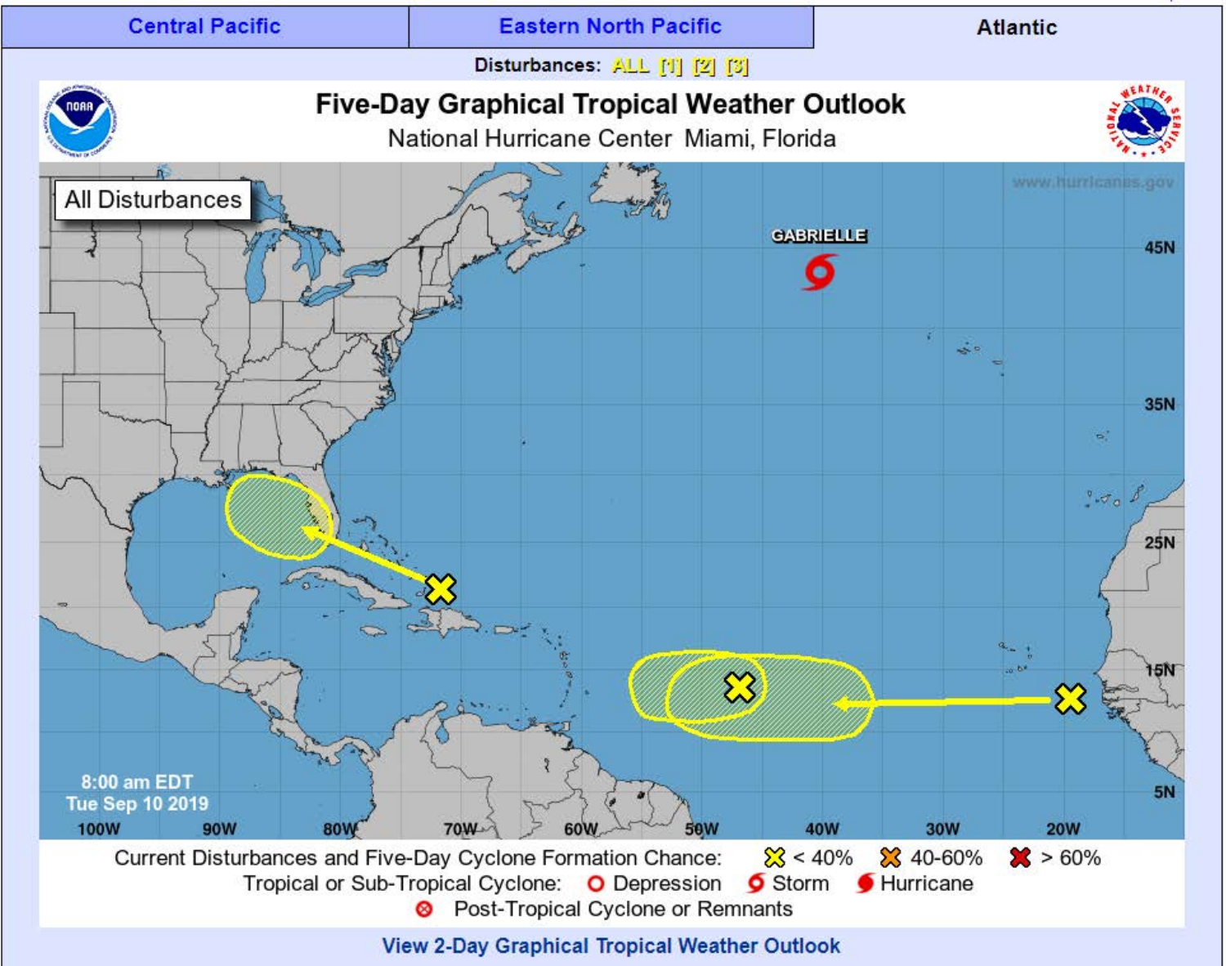

**View 2-Day Graphical Tropical Weather Outlook**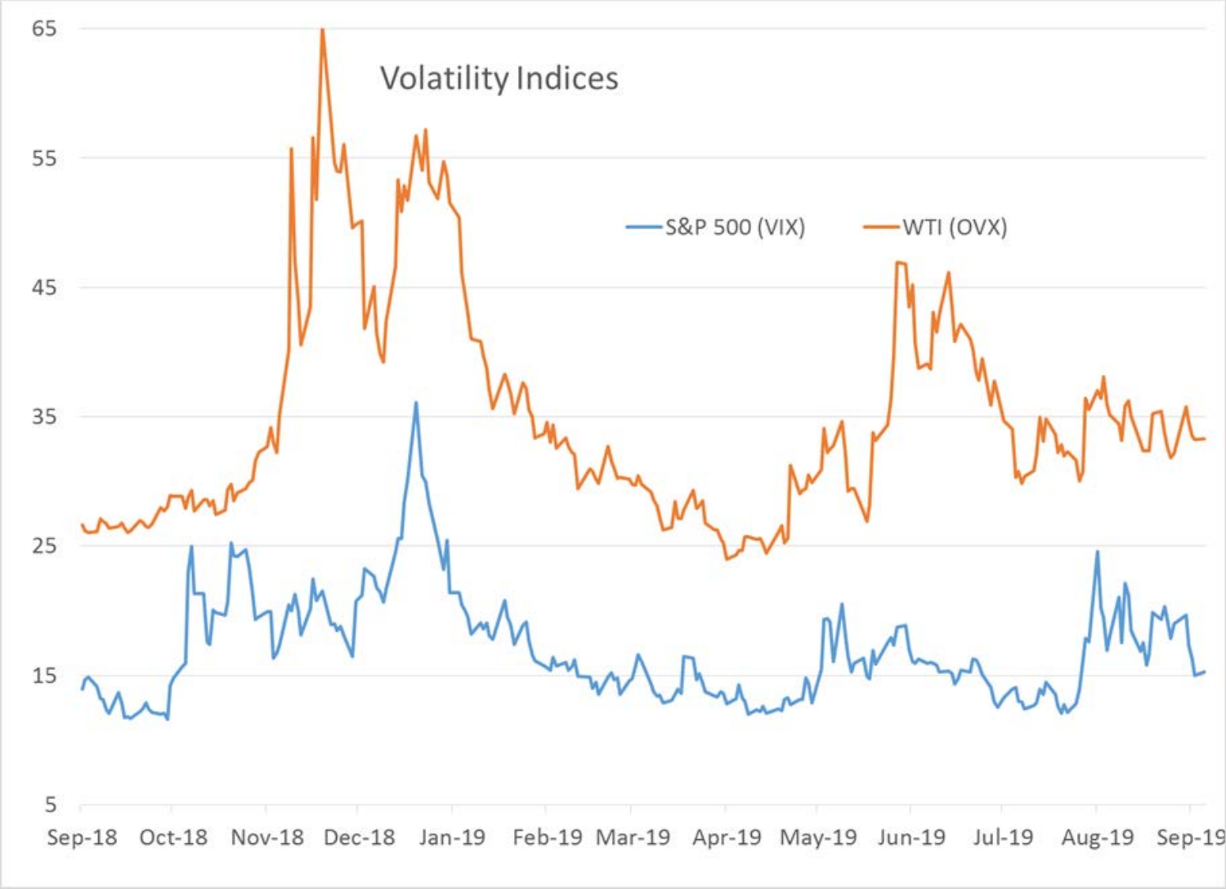